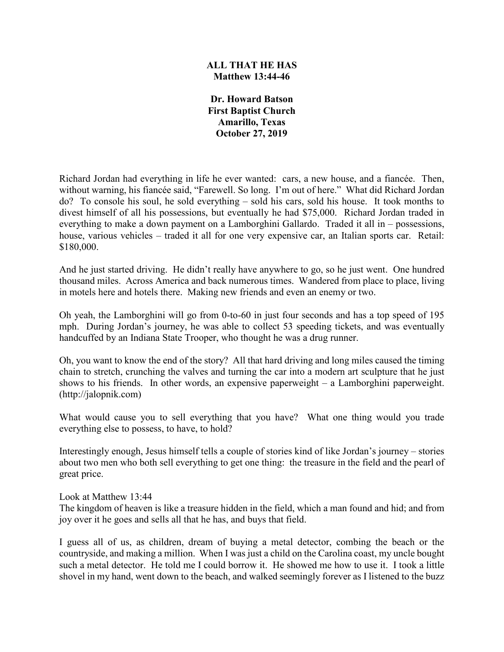## **ALL THAT HE HAS Matthew 13:44-46**

**Dr. Howard Batson First Baptist Church Amarillo, Texas October 27, 2019**

Richard Jordan had everything in life he ever wanted: cars, a new house, and a fiancée. Then, without warning, his fiancée said, "Farewell. So long. I'm out of here." What did Richard Jordan do? To console his soul, he sold everything – sold his cars, sold his house. It took months to divest himself of all his possessions, but eventually he had \$75,000. Richard Jordan traded in everything to make a down payment on a Lamborghini Gallardo. Traded it all in – possessions, house, various vehicles – traded it all for one very expensive car, an Italian sports car. Retail: \$180,000.

And he just started driving. He didn't really have anywhere to go, so he just went. One hundred thousand miles. Across America and back numerous times. Wandered from place to place, living in motels here and hotels there. Making new friends and even an enemy or two.

Oh yeah, the Lamborghini will go from 0-to-60 in just four seconds and has a top speed of 195 mph. During Jordan's journey, he was able to collect 53 speeding tickets, and was eventually handcuffed by an Indiana State Trooper, who thought he was a drug runner.

Oh, you want to know the end of the story? All that hard driving and long miles caused the timing chain to stretch, crunching the valves and turning the car into a modern art sculpture that he just shows to his friends. In other words, an expensive paperweight – a Lamborghini paperweight. (http://jalopnik.com)

What would cause you to sell everything that you have? What one thing would you trade everything else to possess, to have, to hold?

Interestingly enough, Jesus himself tells a couple of stories kind of like Jordan's journey – stories about two men who both sell everything to get one thing: the treasure in the field and the pearl of great price.

Look at Matthew 13:44

The kingdom of heaven is like a treasure hidden in the field, which a man found and hid; and from joy over it he goes and sells all that he has, and buys that field.

I guess all of us, as children, dream of buying a metal detector, combing the beach or the countryside, and making a million. When I was just a child on the Carolina coast, my uncle bought such a metal detector. He told me I could borrow it. He showed me how to use it. I took a little shovel in my hand, went down to the beach, and walked seemingly forever as I listened to the buzz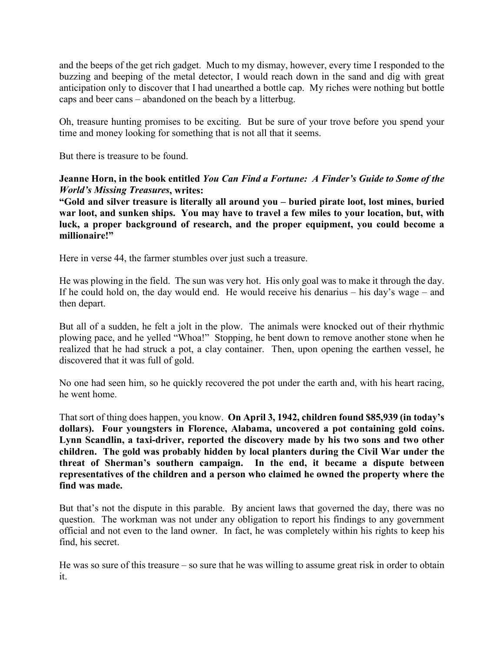and the beeps of the get rich gadget. Much to my dismay, however, every time I responded to the buzzing and beeping of the metal detector, I would reach down in the sand and dig with great anticipation only to discover that I had unearthed a bottle cap. My riches were nothing but bottle caps and beer cans – abandoned on the beach by a litterbug.

Oh, treasure hunting promises to be exciting. But be sure of your trove before you spend your time and money looking for something that is not all that it seems.

But there is treasure to be found.

## **Jeanne Horn, in the book entitled** *You Can Find a Fortune: A Finder's Guide to Some of the World's Missing Treasures***, writes:**

**"Gold and silver treasure is literally all around you – buried pirate loot, lost mines, buried war loot, and sunken ships. You may have to travel a few miles to your location, but, with luck, a proper background of research, and the proper equipment, you could become a millionaire!"**

Here in verse 44, the farmer stumbles over just such a treasure.

He was plowing in the field. The sun was very hot. His only goal was to make it through the day. If he could hold on, the day would end. He would receive his denarius – his day's wage – and then depart.

But all of a sudden, he felt a jolt in the plow. The animals were knocked out of their rhythmic plowing pace, and he yelled "Whoa!" Stopping, he bent down to remove another stone when he realized that he had struck a pot, a clay container. Then, upon opening the earthen vessel, he discovered that it was full of gold.

No one had seen him, so he quickly recovered the pot under the earth and, with his heart racing, he went home.

That sort of thing does happen, you know. **On April 3, 1942, children found \$85,939 (in today's dollars). Four youngsters in Florence, Alabama, uncovered a pot containing gold coins. Lynn Scandlin, a taxi-driver, reported the discovery made by his two sons and two other children. The gold was probably hidden by local planters during the Civil War under the threat of Sherman's southern campaign. In the end, it became a dispute between representatives of the children and a person who claimed he owned the property where the find was made.**

But that's not the dispute in this parable. By ancient laws that governed the day, there was no question. The workman was not under any obligation to report his findings to any government official and not even to the land owner. In fact, he was completely within his rights to keep his find, his secret.

He was so sure of this treasure – so sure that he was willing to assume great risk in order to obtain it.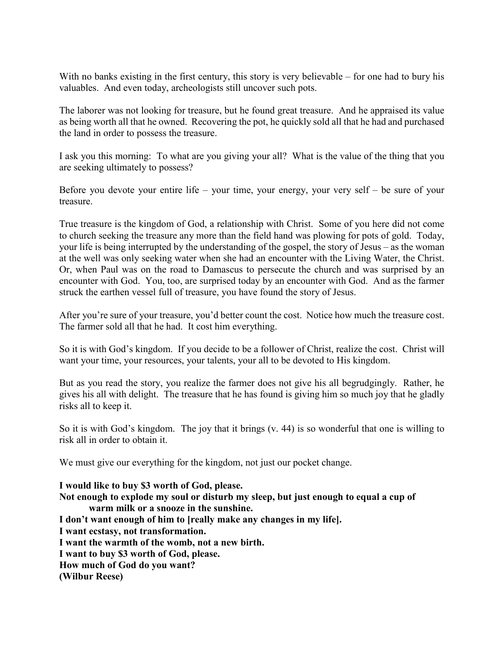With no banks existing in the first century, this story is very believable – for one had to bury his valuables. And even today, archeologists still uncover such pots.

The laborer was not looking for treasure, but he found great treasure. And he appraised its value as being worth all that he owned. Recovering the pot, he quickly sold all that he had and purchased the land in order to possess the treasure.

I ask you this morning: To what are you giving your all? What is the value of the thing that you are seeking ultimately to possess?

Before you devote your entire life – your time, your energy, your very self – be sure of your treasure.

True treasure is the kingdom of God, a relationship with Christ. Some of you here did not come to church seeking the treasure any more than the field hand was plowing for pots of gold. Today, your life is being interrupted by the understanding of the gospel, the story of Jesus – as the woman at the well was only seeking water when she had an encounter with the Living Water, the Christ. Or, when Paul was on the road to Damascus to persecute the church and was surprised by an encounter with God. You, too, are surprised today by an encounter with God. And as the farmer struck the earthen vessel full of treasure, you have found the story of Jesus.

After you're sure of your treasure, you'd better count the cost. Notice how much the treasure cost. The farmer sold all that he had. It cost him everything.

So it is with God's kingdom. If you decide to be a follower of Christ, realize the cost. Christ will want your time, your resources, your talents, your all to be devoted to His kingdom.

But as you read the story, you realize the farmer does not give his all begrudgingly. Rather, he gives his all with delight. The treasure that he has found is giving him so much joy that he gladly risks all to keep it.

So it is with God's kingdom. The joy that it brings (v. 44) is so wonderful that one is willing to risk all in order to obtain it.

We must give our everything for the kingdom, not just our pocket change.

**I would like to buy \$3 worth of God, please. Not enough to explode my soul or disturb my sleep, but just enough to equal a cup of warm milk or a snooze in the sunshine. I don't want enough of him to [really make any changes in my life]. I want ecstasy, not transformation. I want the warmth of the womb, not a new birth. I want to buy \$3 worth of God, please. How much of God do you want? (Wilbur Reese)**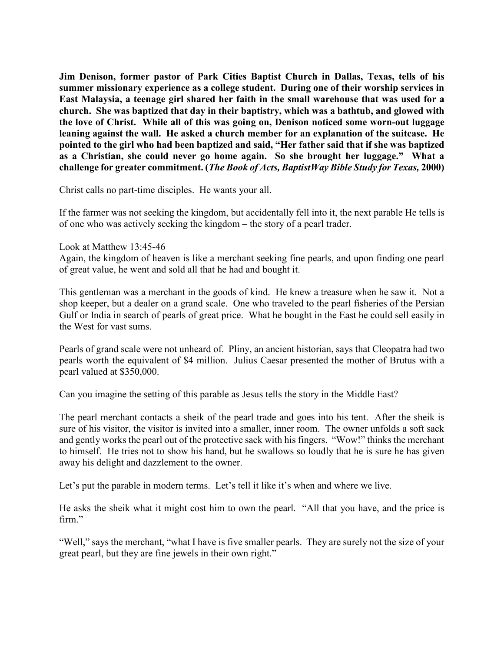**Jim Denison, former pastor of Park Cities Baptist Church in Dallas, Texas, tells of his summer missionary experience as a college student. During one of their worship services in East Malaysia, a teenage girl shared her faith in the small warehouse that was used for a church. She was baptized that day in their baptistry, which was a bathtub, and glowed with the love of Christ. While all of this was going on, Denison noticed some worn-out luggage leaning against the wall. He asked a church member for an explanation of the suitcase. He pointed to the girl who had been baptized and said, "Her father said that if she was baptized as a Christian, she could never go home again. So she brought her luggage." What a challenge for greater commitment. (***The Book of Acts, BaptistWay Bible Study for Texas,* **2000)**

Christ calls no part-time disciples. He wants your all.

If the farmer was not seeking the kingdom, but accidentally fell into it, the next parable He tells is of one who was actively seeking the kingdom – the story of a pearl trader.

Look at Matthew 13:45-46

Again, the kingdom of heaven is like a merchant seeking fine pearls, and upon finding one pearl of great value, he went and sold all that he had and bought it.

This gentleman was a merchant in the goods of kind. He knew a treasure when he saw it. Not a shop keeper, but a dealer on a grand scale. One who traveled to the pearl fisheries of the Persian Gulf or India in search of pearls of great price. What he bought in the East he could sell easily in the West for vast sums.

Pearls of grand scale were not unheard of. Pliny, an ancient historian, says that Cleopatra had two pearls worth the equivalent of \$4 million. Julius Caesar presented the mother of Brutus with a pearl valued at \$350,000.

Can you imagine the setting of this parable as Jesus tells the story in the Middle East?

The pearl merchant contacts a sheik of the pearl trade and goes into his tent. After the sheik is sure of his visitor, the visitor is invited into a smaller, inner room. The owner unfolds a soft sack and gently works the pearl out of the protective sack with his fingers. "Wow!" thinks the merchant to himself. He tries not to show his hand, but he swallows so loudly that he is sure he has given away his delight and dazzlement to the owner.

Let's put the parable in modern terms. Let's tell it like it's when and where we live.

He asks the sheik what it might cost him to own the pearl. "All that you have, and the price is firm."

"Well," says the merchant, "what I have is five smaller pearls. They are surely not the size of your great pearl, but they are fine jewels in their own right."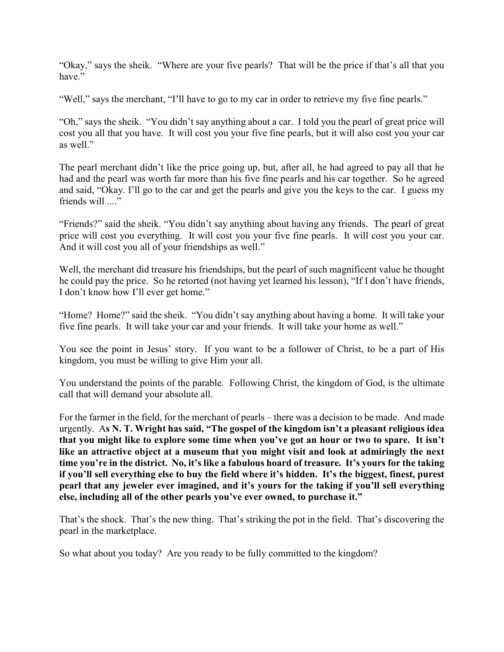"Okay," says the sheik. "Where are your five pearls? That will be the price if that's all that you have."

"Well," says the merchant, "I'll have to go to my car in order to retrieve my five fine pearls."

"Oh," says the sheik. "You didn't say anything about a car. I told you the pearl of great price will cost you all that you have. It will cost you your five fine pearls, but it will also cost you your car as well."

The pearl merchant didn't like the price going up, but, after all, he had agreed to pay all that he had and the pearl was worth far more than his five fine pearls and his car together. So he agreed and said, "Okay. I'll go to the car and get the pearls and give you the keys to the car. I guess my friends will ...."

"Friends?" said the sheik. "You didn't say anything about having any friends. The pearl of great price will cost you everything. It will cost you your five fine pearls. It will cost you your car. And it will cost you all of your friendships as well."

Well, the merchant did treasure his friendships, but the pearl of such magnificent value he thought he could pay the price. So he retorted (not having yet learned his lesson), "If I don't have friends, I don't know how I'll ever get home."

"Home? Home?" said the sheik. "You didn't say anything about having a home. It will take your five fine pearls. It will take your car and your friends. It will take your home as well."

You see the point in Jesus' story. If you want to be a follower of Christ, to be a part of His kingdom, you must be willing to give Him your all.

You understand the points of the parable. Following Christ, the kingdom of God, is the ultimate call that will demand your absolute all.

For the farmer in the field, for the merchant of pearls – there was a decision to be made. And made urgently. A**s N. T. Wright has said, "The gospel of the kingdom isn't a pleasant religious idea that you might like to explore some time when you've got an hour or two to spare. It isn't like an attractive object at a museum that you might visit and look at admiringly the next time you're in the district. No, it's like a fabulous hoard of treasure. It's yours for the taking if you'll sell everything else to buy the field where it's hidden. It's the biggest, finest, purest pearl that any jeweler ever imagined, and it's yours for the taking if you'll sell everything else, including all of the other pearls you've ever owned, to purchase it."**

That's the shock. That's the new thing. That's striking the pot in the field. That's discovering the pearl in the marketplace.

So what about you today? Are you ready to be fully committed to the kingdom?